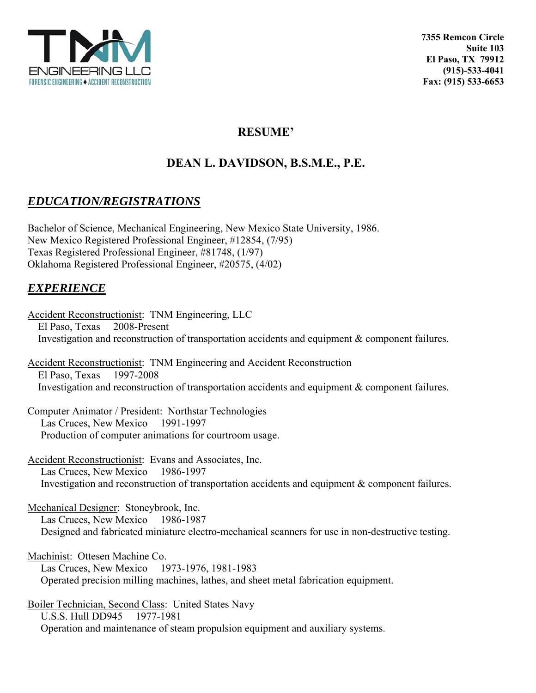

## **RESUME'**

# **DEAN L. DAVIDSON, B.S.M.E., P.E.**

## *EDUCATION/REGISTRATIONS*

Bachelor of Science, Mechanical Engineering, New Mexico State University, 1986. New Mexico Registered Professional Engineer, #12854, (7/95) Texas Registered Professional Engineer, #81748, (1/97) Oklahoma Registered Professional Engineer, #20575, (4/02)

## *EXPERIENCE*

Accident Reconstructionist: TNM Engineering, LLC El Paso, Texas 2008-Present Investigation and reconstruction of transportation accidents and equipment & component failures. Accident Reconstructionist: TNM Engineering and Accident Reconstruction El Paso, Texas 1997-2008 Investigation and reconstruction of transportation accidents and equipment & component failures. Computer Animator / President: Northstar Technologies

 Las Cruces, New Mexico 1991-1997 Production of computer animations for courtroom usage.

Accident Reconstructionist: Evans and Associates, Inc. Las Cruces, New Mexico 1986-1997 Investigation and reconstruction of transportation accidents and equipment & component failures.

Mechanical Designer: Stoneybrook, Inc. Las Cruces, New Mexico 1986-1987 Designed and fabricated miniature electro-mechanical scanners for use in non-destructive testing.

Machinist: Ottesen Machine Co. Las Cruces, New Mexico 1973-1976, 1981-1983 Operated precision milling machines, lathes, and sheet metal fabrication equipment.

Boiler Technician, Second Class: United States Navy U.S.S. Hull DD945 1977-1981 Operation and maintenance of steam propulsion equipment and auxiliary systems.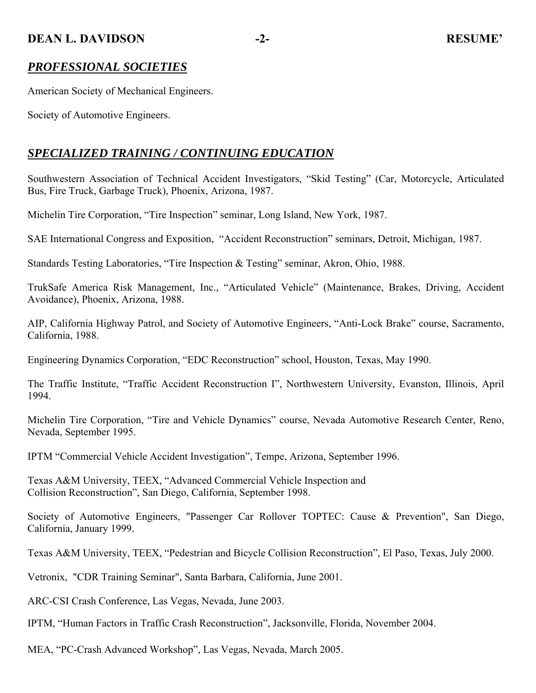### **DEAN L. DAVIDSON** -2- RESUME'

### *PROFESSIONAL SOCIETIES*

American Society of Mechanical Engineers.

Society of Automotive Engineers.

## *SPECIALIZED TRAINING / CONTINUING EDUCATION*

Southwestern Association of Technical Accident Investigators, "Skid Testing" (Car, Motorcycle, Articulated Bus, Fire Truck, Garbage Truck), Phoenix, Arizona, 1987.

Michelin Tire Corporation, "Tire Inspection" seminar, Long Island, New York, 1987.

SAE International Congress and Exposition, "Accident Reconstruction" seminars, Detroit, Michigan, 1987.

Standards Testing Laboratories, "Tire Inspection & Testing" seminar, Akron, Ohio, 1988.

TrukSafe America Risk Management, Inc., "Articulated Vehicle" (Maintenance, Brakes, Driving, Accident Avoidance), Phoenix, Arizona, 1988.

AIP, California Highway Patrol, and Society of Automotive Engineers, "Anti-Lock Brake" course, Sacramento, California, 1988.

Engineering Dynamics Corporation, "EDC Reconstruction" school, Houston, Texas, May 1990.

The Traffic Institute, "Traffic Accident Reconstruction I", Northwestern University, Evanston, Illinois, April 1994.

Michelin Tire Corporation, "Tire and Vehicle Dynamics" course, Nevada Automotive Research Center, Reno, Nevada, September 1995.

IPTM "Commercial Vehicle Accident Investigation", Tempe, Arizona, September 1996.

Texas A&M University, TEEX, "Advanced Commercial Vehicle Inspection and Collision Reconstruction", San Diego, California, September 1998.

Society of Automotive Engineers, "Passenger Car Rollover TOPTEC: Cause & Prevention", San Diego, California, January 1999.

Texas A&M University, TEEX, "Pedestrian and Bicycle Collision Reconstruction", El Paso, Texas, July 2000.

Vetronix, "CDR Training Seminar", Santa Barbara, California, June 2001.

ARC-CSI Crash Conference, Las Vegas, Nevada, June 2003.

IPTM, "Human Factors in Traffic Crash Reconstruction", Jacksonville, Florida, November 2004.

MEA, "PC-Crash Advanced Workshop", Las Vegas, Nevada, March 2005.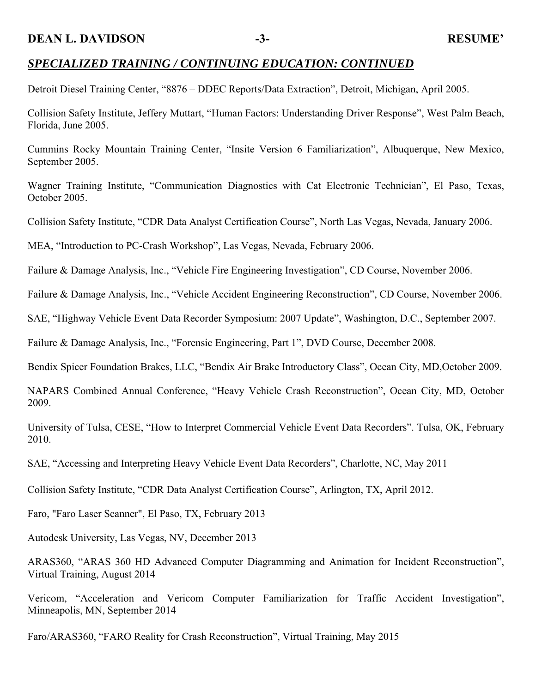#### **DEAN L. DAVIDSON** -3- RESUME'

## *SPECIALIZED TRAINING / CONTINUING EDUCATION: CONTINUED*

Detroit Diesel Training Center, "8876 – DDEC Reports/Data Extraction", Detroit, Michigan, April 2005.

Collision Safety Institute, Jeffery Muttart, "Human Factors: Understanding Driver Response", West Palm Beach, Florida, June 2005.

Cummins Rocky Mountain Training Center, "Insite Version 6 Familiarization", Albuquerque, New Mexico, September 2005.

Wagner Training Institute, "Communication Diagnostics with Cat Electronic Technician", El Paso, Texas, October 2005.

Collision Safety Institute, "CDR Data Analyst Certification Course", North Las Vegas, Nevada, January 2006.

MEA, "Introduction to PC-Crash Workshop", Las Vegas, Nevada, February 2006.

Failure & Damage Analysis, Inc., "Vehicle Fire Engineering Investigation", CD Course, November 2006.

Failure & Damage Analysis, Inc., "Vehicle Accident Engineering Reconstruction", CD Course, November 2006.

SAE, "Highway Vehicle Event Data Recorder Symposium: 2007 Update", Washington, D.C., September 2007.

Failure & Damage Analysis, Inc., "Forensic Engineering, Part 1", DVD Course, December 2008.

Bendix Spicer Foundation Brakes, LLC, "Bendix Air Brake Introductory Class", Ocean City, MD,October 2009.

NAPARS Combined Annual Conference, "Heavy Vehicle Crash Reconstruction", Ocean City, MD, October 2009.

University of Tulsa, CESE, "How to Interpret Commercial Vehicle Event Data Recorders". Tulsa, OK, February 2010.

SAE, "Accessing and Interpreting Heavy Vehicle Event Data Recorders", Charlotte, NC, May 2011

Collision Safety Institute, "CDR Data Analyst Certification Course", Arlington, TX, April 2012.

Faro, "Faro Laser Scanner", El Paso, TX, February 2013

Autodesk University, Las Vegas, NV, December 2013

ARAS360, "ARAS 360 HD Advanced Computer Diagramming and Animation for Incident Reconstruction", Virtual Training, August 2014

Vericom, "Acceleration and Vericom Computer Familiarization for Traffic Accident Investigation", Minneapolis, MN, September 2014

Faro/ARAS360, "FARO Reality for Crash Reconstruction", Virtual Training, May 2015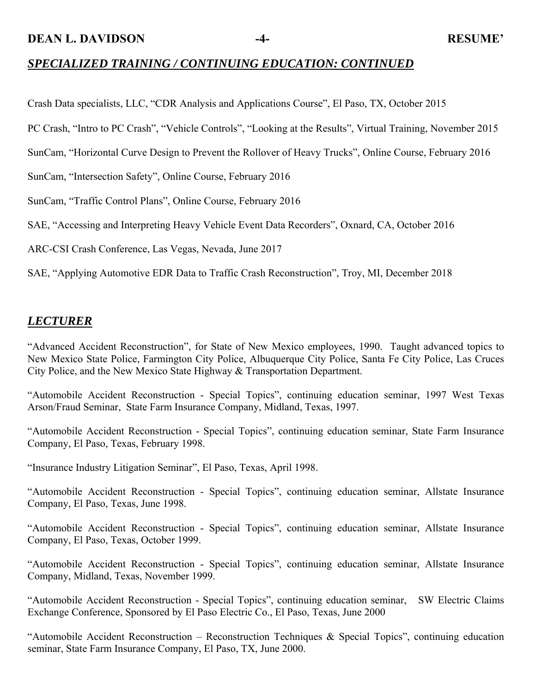**DEAN L. DAVIDSON** -4- **RESUME'** 

## *SPECIALIZED TRAINING / CONTINUING EDUCATION: CONTINUED*

Crash Data specialists, LLC, "CDR Analysis and Applications Course", El Paso, TX, October 2015

PC Crash, "Intro to PC Crash", "Vehicle Controls", "Looking at the Results", Virtual Training, November 2015

SunCam, "Horizontal Curve Design to Prevent the Rollover of Heavy Trucks", Online Course, February 2016

SunCam, "Intersection Safety", Online Course, February 2016

SunCam, "Traffic Control Plans", Online Course, February 2016

SAE, "Accessing and Interpreting Heavy Vehicle Event Data Recorders", Oxnard, CA, October 2016

ARC-CSI Crash Conference, Las Vegas, Nevada, June 2017

SAE, "Applying Automotive EDR Data to Traffic Crash Reconstruction", Troy, MI, December 2018

## *LECTURER*

"Advanced Accident Reconstruction", for State of New Mexico employees, 1990. Taught advanced topics to New Mexico State Police, Farmington City Police, Albuquerque City Police, Santa Fe City Police, Las Cruces City Police, and the New Mexico State Highway & Transportation Department.

"Automobile Accident Reconstruction - Special Topics", continuing education seminar, 1997 West Texas Arson/Fraud Seminar, State Farm Insurance Company, Midland, Texas, 1997.

"Automobile Accident Reconstruction - Special Topics", continuing education seminar, State Farm Insurance Company, El Paso, Texas, February 1998.

"Insurance Industry Litigation Seminar", El Paso, Texas, April 1998.

"Automobile Accident Reconstruction - Special Topics", continuing education seminar, Allstate Insurance Company, El Paso, Texas, June 1998.

"Automobile Accident Reconstruction - Special Topics", continuing education seminar, Allstate Insurance Company, El Paso, Texas, October 1999.

"Automobile Accident Reconstruction - Special Topics", continuing education seminar, Allstate Insurance Company, Midland, Texas, November 1999.

"Automobile Accident Reconstruction - Special Topics", continuing education seminar, SW Electric Claims Exchange Conference, Sponsored by El Paso Electric Co., El Paso, Texas, June 2000

"Automobile Accident Reconstruction – Reconstruction Techniques & Special Topics", continuing education seminar, State Farm Insurance Company, El Paso, TX, June 2000.